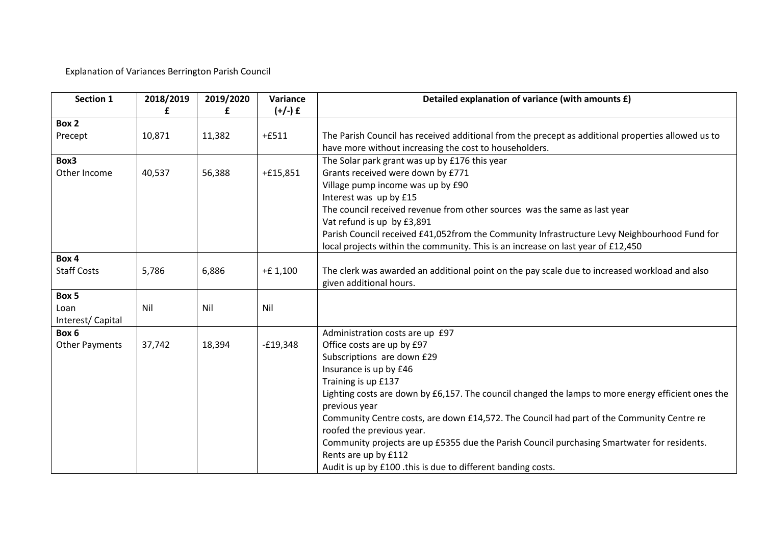Explanation of Variances Berrington Parish Council

| Section 1             | 2018/2019 | 2019/2020<br>£ | Variance<br>$(+/-)$ £ | Detailed explanation of variance (with amounts £)                                                                   |
|-----------------------|-----------|----------------|-----------------------|---------------------------------------------------------------------------------------------------------------------|
| Box 2                 |           |                |                       |                                                                                                                     |
| Precept               | 10,871    | 11,382         | $+£511$               | The Parish Council has received additional from the precept as additional properties allowed us to                  |
|                       |           |                |                       | have more without increasing the cost to householders.                                                              |
| Box3                  |           |                |                       | The Solar park grant was up by £176 this year                                                                       |
| Other Income          | 40,537    | 56,388         | $+£15,851$            | Grants received were down by £771                                                                                   |
|                       |           |                |                       | Village pump income was up by £90                                                                                   |
|                       |           |                |                       | Interest was up by £15                                                                                              |
|                       |           |                |                       | The council received revenue from other sources was the same as last year                                           |
|                       |           |                |                       | Vat refund is up by £3,891                                                                                          |
|                       |           |                |                       | Parish Council received £41,052from the Community Infrastructure Levy Neighbourhood Fund for                        |
|                       |           |                |                       | local projects within the community. This is an increase on last year of £12,450                                    |
| Box 4                 |           |                |                       |                                                                                                                     |
| <b>Staff Costs</b>    | 5,786     | 6,886          | $+E1,100$             | The clerk was awarded an additional point on the pay scale due to increased workload and also                       |
|                       |           |                |                       | given additional hours.                                                                                             |
| Box 5                 |           |                |                       |                                                                                                                     |
| Loan                  | Nil       | Nil            | Nil                   |                                                                                                                     |
| Interest/Capital      |           |                |                       |                                                                                                                     |
| Box 6                 |           |                |                       | Administration costs are up £97                                                                                     |
| <b>Other Payments</b> | 37,742    | 18,394         | $-£19,348$            | Office costs are up by £97                                                                                          |
|                       |           |                |                       | Subscriptions are down £29                                                                                          |
|                       |           |                |                       | Insurance is up by £46                                                                                              |
|                       |           |                |                       | Training is up £137                                                                                                 |
|                       |           |                |                       | Lighting costs are down by £6,157. The council changed the lamps to more energy efficient ones the                  |
|                       |           |                |                       | previous year                                                                                                       |
|                       |           |                |                       | Community Centre costs, are down £14,572. The Council had part of the Community Centre re                           |
|                       |           |                |                       | roofed the previous year.                                                                                           |
|                       |           |                |                       | Community projects are up £5355 due the Parish Council purchasing Smartwater for residents.<br>Rents are up by £112 |
|                       |           |                |                       | Audit is up by £100 .this is due to different banding costs.                                                        |